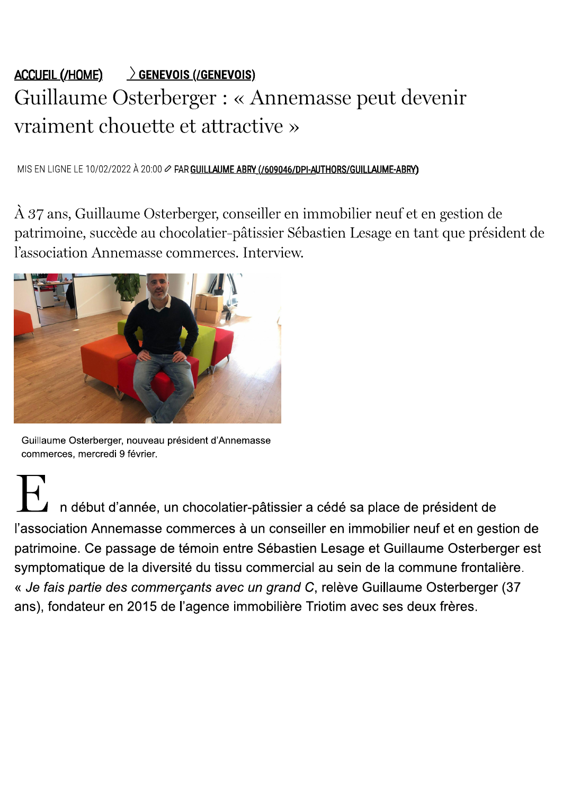# $\triangle$  CCUEIL (/HOME)  $\longrightarrow$  GENEVOIS (/GENEVOIS) Guillaume Osterberger : « Annemasse peut devenir vraiment chouette et attractive »

MIS EN LIGNE LE 10/02/2022 À 20:00  $\varnothing$  PAR GUILLAUME ABRY (/609046/DPI-AUTHORS/GUILLAUME-ABRY)

À 37 ans, Guillaume Osterberger, conseiller en immobilier neuf et en gestion de patrimoine, succède au chocolatier-pâtissier Sébastien Lesage en tant que président de l'association Annemasse commerces. Interview.



Guillaume Osterberger, nouveau président d'Annemasse commerces, mercredi 9 février.

n début d'année, un chocolatier-pâtissier a cédé sa place de président de l'association Annemasse commerces à un conseiller en immobilier neuf et en gestion de patrimoine. Ce passage de témoin entre Sébastien Lesage et Guillaume Osterberger est symptomatique de la diversité du tissu commercial au sein de la commune frontalière. « Je fais partie des commerçants avec un grand C, relève Guillaume Osterberger (37 ans), fondateur en 2015 de l'agence immobilière Triotim avec ses deux frères.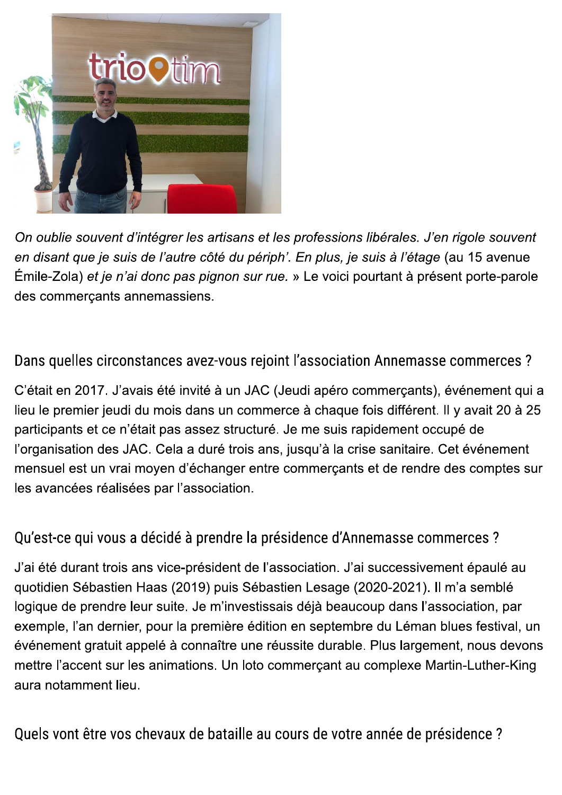

On oublie souvent d'intégrer les artisans et les professions libérales. J'en rigole souvent en disant que je suis de l'autre côté du périph'. En plus, je suis à l'étage (au 15 avenue Émile-Zola) et je n'ai donc pas pignon sur rue. » Le voici pourtant à présent porte-parole des commercants annemassiens.

#### Dans quelles circonstances avez-vous rejoint l'association Annemasse commerces ?

C'était en 2017. J'avais été invité à un JAC (Jeudi apéro commerçants), événement qui a lieu le premier jeudi du mois dans un commerce à chaque fois différent. Il y avait 20 à 25 participants et ce n'était pas assez structuré. Je me suis rapidement occupé de l'organisation des JAC. Cela a duré trois ans, jusqu'à la crise sanitaire. Cet événement mensuel est un vrai moyen d'échanger entre commerçants et de rendre des comptes sur les avancées réalisées par l'association.

#### Qu'est-ce qui vous a décidé à prendre la présidence d'Annemasse commerces ?

J'ai été durant trois ans vice-président de l'association. J'ai successivement épaulé au quotidien Sébastien Haas (2019) puis Sébastien Lesage (2020-2021). Il m'a semblé logique de prendre leur suite. Je m'investissais déjà beaucoup dans l'association, par exemple, l'an dernier, pour la première édition en septembre du Léman blues festival, un événement gratuit appelé à connaître une réussite durable. Plus largement, nous devons mettre l'accent sur les animations. Un loto commerçant au complexe Martin-Luther-King aura notamment lieu.

Quels vont être vos chevaux de bataille au cours de votre année de présidence ?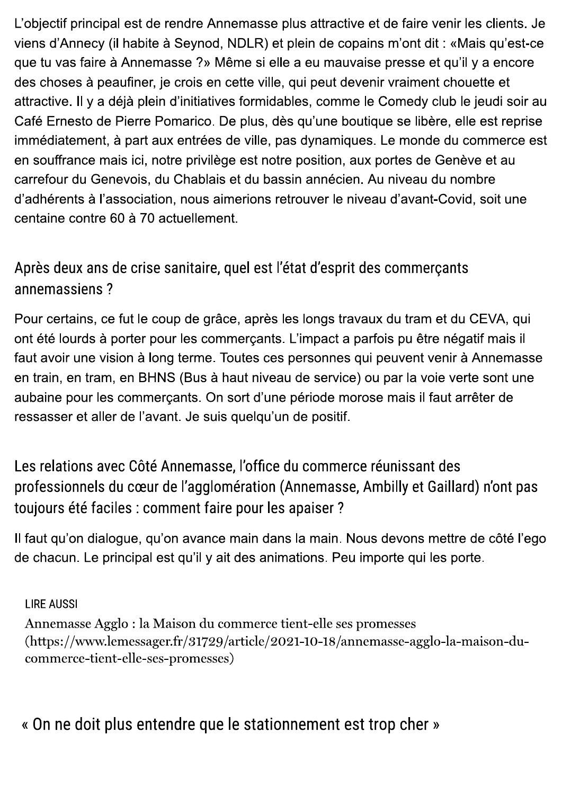L'objectif principal est de rendre Annemasse plus attractive et de faire venir les clients. Je viens d'Annecy (il habite à Seynod, NDLR) et plein de copains m'ont dit : «Mais qu'est-ce que tu vas faire à Annemasse ?» Même si elle a eu mauvaise presse et qu'il y a encore des choses à peaufiner, je crois en cette ville, qui peut devenir vraiment chouette et attractive. Il y a déjà plein d'initiatives formidables, comme le Comedy club le jeudi soir au Café Ernesto de Pierre Pomarico. De plus, dès qu'une boutique se libère, elle est reprise immédiatement, à part aux entrées de ville, pas dynamiques. Le monde du commerce est en souffrance mais ici, notre privilège est notre position, aux portes de Genève et au carrefour du Genevois, du Chablais et du bassin annécien. Au niveau du nombre d'adhérents à l'association, nous aimerions retrouver le niveau d'avant-Covid, soit une centaine contre 60 à 70 actuellement.

## Après deux ans de crise sanitaire, quel est l'état d'esprit des commerçants annemassiens?

Pour certains, ce fut le coup de grâce, après les longs travaux du tram et du CEVA, qui ont été lourds à porter pour les commerçants. L'impact a parfois pu être négatif mais il faut avoir une vision à long terme. Toutes ces personnes qui peuvent venir à Annemasse en train, en tram, en BHNS (Bus à haut niveau de service) ou par la voie verte sont une aubaine pour les commercants. On sort d'une période morose mais il faut arrêter de ressasser et aller de l'avant. Je suis quelqu'un de positif.

Les relations avec Côté Annemasse, l'office du commerce réunissant des professionnels du cœur de l'agglomération (Annemasse, Ambilly et Gaillard) n'ont pas toujours été faciles : comment faire pour les apaiser ?

Il faut qu'on dialogue, qu'on avance main dans la main. Nous devons mettre de côté l'ego de chacun. Le principal est qu'il y ait des animations. Peu importe qui les porte.

**LIRE AUSSI** 

```
Annemasse Agglo: la Maison du commerce tient-elle ses promesses
(https://www.lemessager.fr/31729/article/2021-10-18/annemasse-agglo-la-maison-du-
commerce-tient-elle-ses-promesses)
```
« On ne doit plus entendre que le stationnement est trop cher »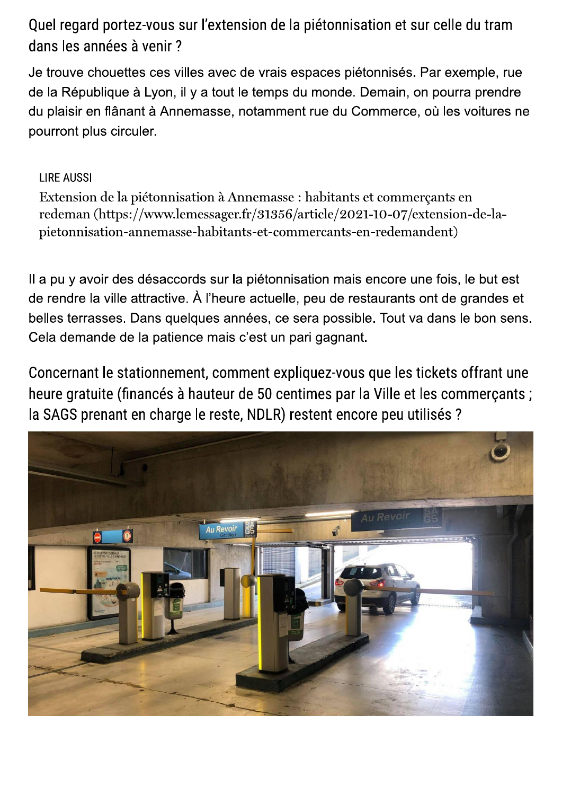Quel regard portez-vous sur l'extension de la piétonnisation et sur celle du tram dans les années à venir ?

Je trouve chouettes ces villes avec de vrais espaces piétonnisés. Par exemple, rue de la République à Lyon, il y a tout le temps du monde. Demain, on pourra prendre du plaisir en flânant à Annemasse, notamment rue du Commerce, où les voitures ne pourront plus circuler.

**LIRE AUSSI** 

Extension de la piétonnisation à Annemasse : habitants et commerçants en redeman (https://www.lemessager.fr/31356/article/2021-10-07/extension-de-lapietonnisation-annemasse-habitants-et-commercants-en-redemandent)

Il a pu y avoir des désaccords sur la piétonnisation mais encore une fois, le but est de rendre la ville attractive. À l'heure actuelle, peu de restaurants ont de grandes et belles terrasses. Dans quelques années, ce sera possible. Tout va dans le bon sens. Cela demande de la patience mais c'est un pari gagnant.

Concernant le stationnement, comment expliquez-vous que les tickets offrant une heure gratuite (financés à hauteur de 50 centimes par la Ville et les commerçants ; la SAGS prenant en charge le reste, NDLR) restent encore peu utilisés ?